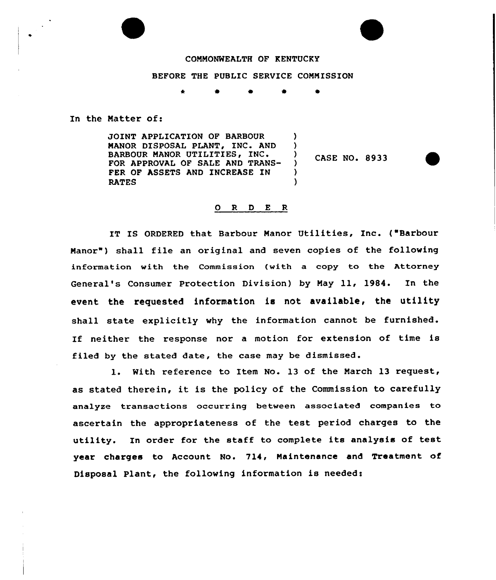## COMMONWEALTH OF KENTUCKY

## BEFORE THE PUBLIC SERVICE COMMISSION

) )

> ) )

 $\mathcal{L}$  $\lambda$ 

In the Matter of:

JOINT APPLICATION OF BARBOUR MANOR DISPOSAL PLANT, INC. AND BARBOUR MANOR UTILITIES, INC. FOR APPROVAL OF SALE AND TRANS-FER OF ASSETS AND INCREASE IN RATES

CASE NO. 8933

## 0 R <sup>D</sup> E R

IT IS ORDERED that Barbour Manor Utilities, Inc. ("Barbour Manor" ) shall file an original and seven copies of the following information with the Commission (with a copy to the Attorne<sub>)</sub><br>General's Consumer Protection Division) by May 11, 198<mark>4. In t</mark>he event the requested information is not available, the utility shall state explicitly why the information cannot be furnished. If neither the response nor <sup>a</sup> motion for extension of time is filed by the stated date, the case may be dismissed.

1. With reference to Item No. 13 of the March 13 request, as stated therein, it is the policy of the Commission to carefully analyze transactions occurring between associated companies to ascertain the appropriateness of the test period charges to the utility. In order for the staff to complete its analysis of test year charges to Account No. 714, Maintenance and Treatment of Disposal Plant, the following information is neededs